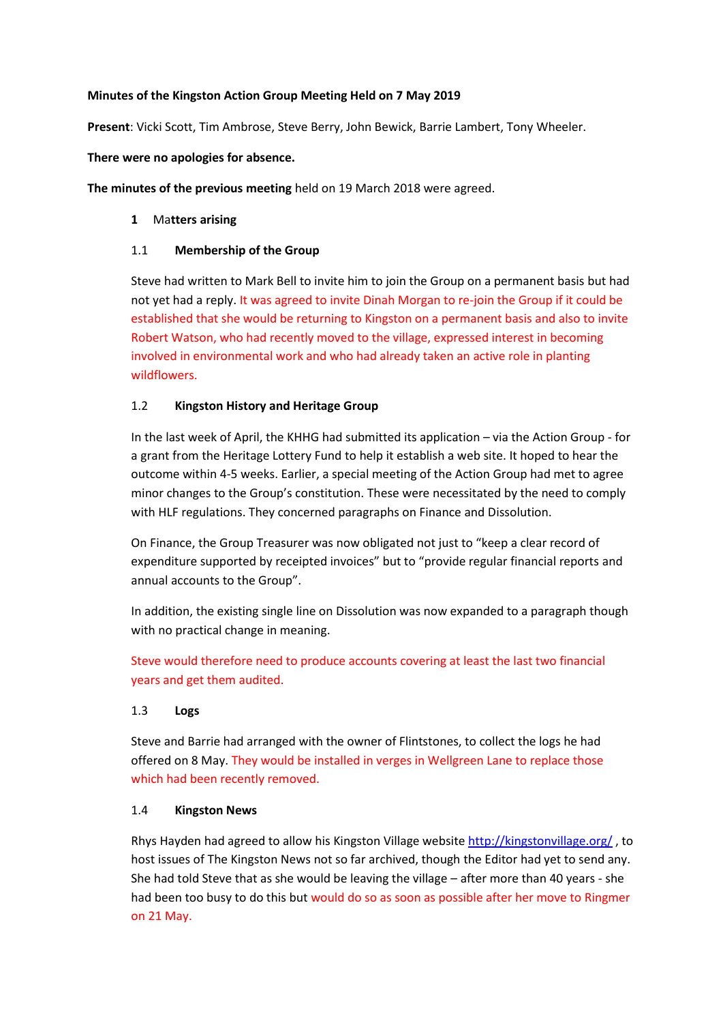#### **Minutes of the Kingston Action Group Meeting Held on 7 May 2019**

**Present**: Vicki Scott, Tim Ambrose, Steve Berry, John Bewick, Barrie Lambert, Tony Wheeler.

#### **There were no apologies for absence.**

**The minutes of the previous meeting** held on 19 March 2018 were agreed.

#### **1** Ma**tters arising**

#### 1.1 **Membership of the Group**

Steve had written to Mark Bell to invite him to join the Group on a permanent basis but had not yet had a reply. It was agreed to invite Dinah Morgan to re-join the Group if it could be established that she would be returning to Kingston on a permanent basis and also to invite Robert Watson, who had recently moved to the village, expressed interest in becoming involved in environmental work and who had already taken an active role in planting wildflowers.

## 1.2 **Kingston History and Heritage Group**

In the last week of April, the KHHG had submitted its application – via the Action Group - for a grant from the Heritage Lottery Fund to help it establish a web site. It hoped to hear the outcome within 4-5 weeks. Earlier, a special meeting of the Action Group had met to agree minor changes to the Group's constitution. These were necessitated by the need to comply with HLF regulations. They concerned paragraphs on Finance and Dissolution.

On Finance, the Group Treasurer was now obligated not just to "keep a clear record of expenditure supported by receipted invoices" but to "provide regular financial reports and annual accounts to the Group".

In addition, the existing single line on Dissolution was now expanded to a paragraph though with no practical change in meaning.

Steve would therefore need to produce accounts covering at least the last two financial years and get them audited.

## 1.3 **Logs**

Steve and Barrie had arranged with the owner of Flintstones, to collect the logs he had offered on 8 May. They would be installed in verges in Wellgreen Lane to replace those which had been recently removed.

## 1.4 **Kingston News**

Rhys Hayden had agreed to allow his Kingston Village website <http://kingstonvillage.org/> , to host issues of The Kingston News not so far archived, though the Editor had yet to send any. She had told Steve that as she would be leaving the village – after more than 40 years - she had been too busy to do this but would do so as soon as possible after her move to Ringmer on 21 May.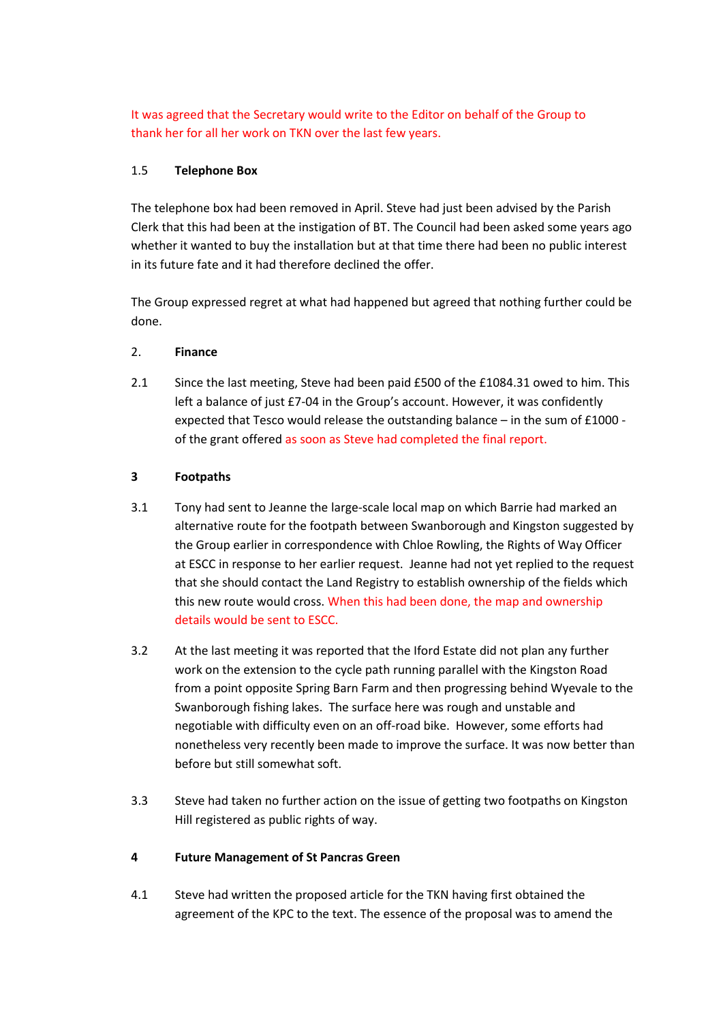It was agreed that the Secretary would write to the Editor on behalf of the Group to thank her for all her work on TKN over the last few years.

## 1.5 **Telephone Box**

The telephone box had been removed in April. Steve had just been advised by the Parish Clerk that this had been at the instigation of BT. The Council had been asked some years ago whether it wanted to buy the installation but at that time there had been no public interest in its future fate and it had therefore declined the offer.

The Group expressed regret at what had happened but agreed that nothing further could be done.

#### 2. **Finance**

2.1 Since the last meeting, Steve had been paid £500 of the £1084.31 owed to him. This left a balance of just £7-04 in the Group's account. However, it was confidently expected that Tesco would release the outstanding balance – in the sum of £1000 of the grant offered as soon as Steve had completed the final report.

## **3 Footpaths**

- 3.1 Tony had sent to Jeanne the large-scale local map on which Barrie had marked an alternative route for the footpath between Swanborough and Kingston suggested by the Group earlier in correspondence with Chloe Rowling, the Rights of Way Officer at ESCC in response to her earlier request. Jeanne had not yet replied to the request that she should contact the Land Registry to establish ownership of the fields which this new route would cross. When this had been done, the map and ownership details would be sent to ESCC.
- 3.2 At the last meeting it was reported that the Iford Estate did not plan any further work on the extension to the cycle path running parallel with the Kingston Road from a point opposite Spring Barn Farm and then progressing behind Wyevale to the Swanborough fishing lakes. The surface here was rough and unstable and negotiable with difficulty even on an off-road bike. However, some efforts had nonetheless very recently been made to improve the surface. It was now better than before but still somewhat soft.
- 3.3 Steve had taken no further action on the issue of getting two footpaths on Kingston Hill registered as public rights of way.

#### **4 Future Management of St Pancras Green**

4.1 Steve had written the proposed article for the TKN having first obtained the agreement of the KPC to the text. The essence of the proposal was to amend the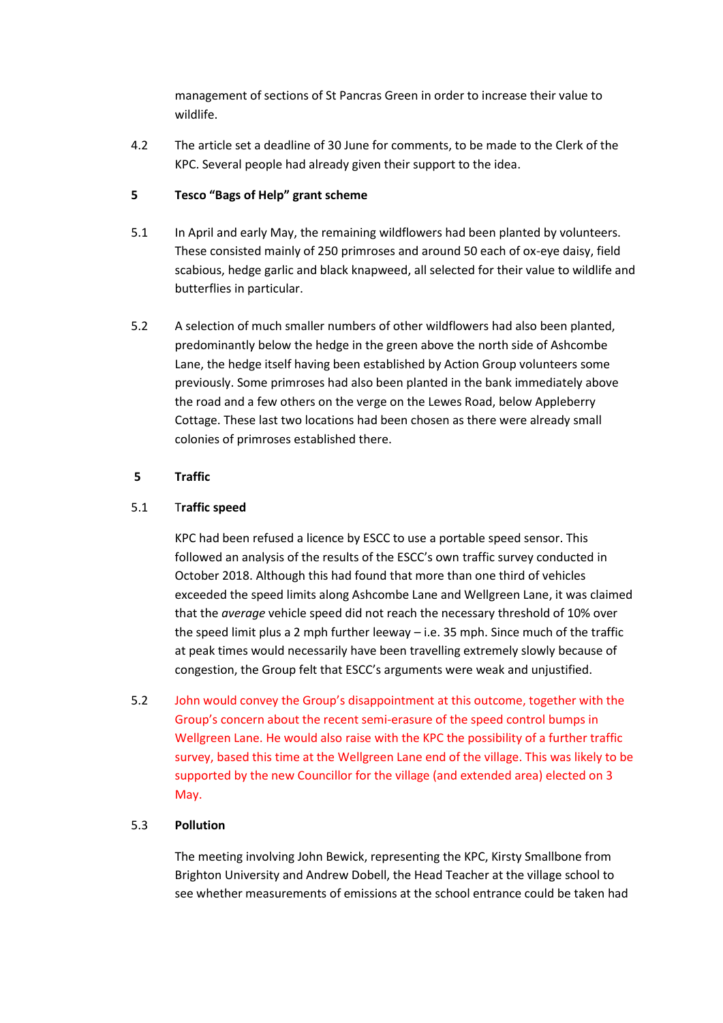management of sections of St Pancras Green in order to increase their value to wildlife.

4.2 The article set a deadline of 30 June for comments, to be made to the Clerk of the KPC. Several people had already given their support to the idea.

# **5 Tesco "Bags of Help" grant scheme**

- 5.1 In April and early May, the remaining wildflowers had been planted by volunteers. These consisted mainly of 250 primroses and around 50 each of ox-eye daisy, field scabious, hedge garlic and black knapweed, all selected for their value to wildlife and butterflies in particular.
- 5.2 A selection of much smaller numbers of other wildflowers had also been planted, predominantly below the hedge in the green above the north side of Ashcombe Lane, the hedge itself having been established by Action Group volunteers some previously. Some primroses had also been planted in the bank immediately above the road and a few others on the verge on the Lewes Road, below Appleberry Cottage. These last two locations had been chosen as there were already small colonies of primroses established there.

# **5 Traffic**

# 5.1 T**raffic speed**

KPC had been refused a licence by ESCC to use a portable speed sensor. This followed an analysis of the results of the ESCC's own traffic survey conducted in October 2018. Although this had found that more than one third of vehicles exceeded the speed limits along Ashcombe Lane and Wellgreen Lane, it was claimed that the *average* vehicle speed did not reach the necessary threshold of 10% over the speed limit plus a 2 mph further leeway – i.e. 35 mph. Since much of the traffic at peak times would necessarily have been travelling extremely slowly because of congestion, the Group felt that ESCC's arguments were weak and unjustified.

5.2 John would convey the Group's disappointment at this outcome, together with the Group's concern about the recent semi-erasure of the speed control bumps in Wellgreen Lane. He would also raise with the KPC the possibility of a further traffic survey, based this time at the Wellgreen Lane end of the village. This was likely to be supported by the new Councillor for the village (and extended area) elected on 3 May.

## 5.3 **Pollution**

The meeting involving John Bewick, representing the KPC, Kirsty Smallbone from Brighton University and Andrew Dobell, the Head Teacher at the village school to see whether measurements of emissions at the school entrance could be taken had